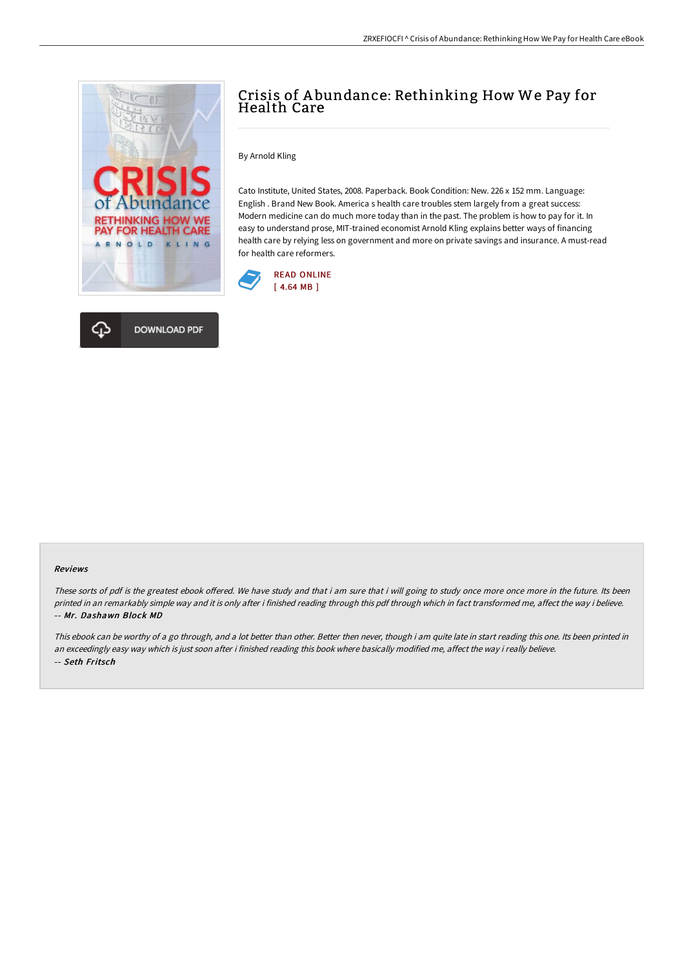

## Crisis of A bundance: Rethinking How We Pay for Health Care

By Arnold Kling

Cato Institute, United States, 2008. Paperback. Book Condition: New. 226 x 152 mm. Language: English . Brand New Book. America s health care troubles stem largely from a great success: Modern medicine can do much more today than in the past. The problem is how to pay for it. In easy to understand prose, MIT-trained economist Arnold Kling explains better ways of financing health care by relying less on government and more on private savings and insurance. A must-read for health care reformers.





## Reviews

These sorts of pdf is the greatest ebook offered. We have study and that i am sure that i will going to study once more once more in the future. Its been printed in an remarkably simple way and it is only after i finished reading through this pdf through which in fact transformed me, affect the way i believe. -- Mr. Dashawn Block MD

This ebook can be worthy of a go through, and a lot better than other. Better then never, though i am quite late in start reading this one. Its been printed in an exceedingly easy way which is just soon after i finished reading this book where basically modified me, affect the way i really believe. -- Seth Fritsch